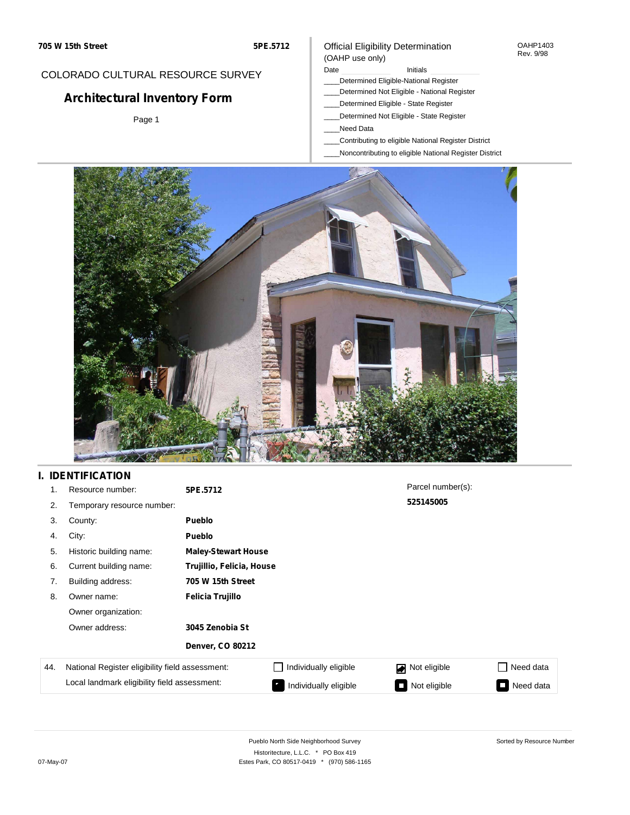#### OAHP1403 Rev. 9/98

### COLORADO CULTURAL RESOURCE SURVEY

# **Architectural Inventory Form**

Page 1

## (OAHP use only)

Official Eligibility Determination

Date **Initials** Initials

- \_\_\_\_Determined Eligible-National Register
- \_\_\_\_Determined Not Eligible National Register
- \_\_\_\_Determined Eligible State Register
- \_\_\_\_Determined Not Eligible State Register
- \_\_\_\_Need Data
- \_\_\_\_Contributing to eligible National Register District
- \_\_\_\_Noncontributing to eligible National Register District



### **I. IDENTIFICATION**

| 1.  | Resource number:                                | 5PE.5712                   |                       | Parcel number(s): |           |
|-----|-------------------------------------------------|----------------------------|-----------------------|-------------------|-----------|
| 2.  | Temporary resource number:                      |                            |                       | 525145005         |           |
| 3.  | County:                                         | <b>Pueblo</b>              |                       |                   |           |
| 4.  | City:                                           | <b>Pueblo</b>              |                       |                   |           |
| 5.  | Historic building name:                         | <b>Maley-Stewart House</b> |                       |                   |           |
| 6.  | Current building name:                          | Trujillio, Felicia, House  |                       |                   |           |
| 7.  | Building address:                               | 705 W 15th Street          |                       |                   |           |
| 8.  | Owner name:                                     | Felicia Trujillo           |                       |                   |           |
|     | Owner organization:                             |                            |                       |                   |           |
|     | Owner address:                                  | 3045 Zenobia St            |                       |                   |           |
|     |                                                 | <b>Denver, CO 80212</b>    |                       |                   |           |
| 44. | National Register eligibility field assessment: |                            | Individually eligible | Not eligible<br>◪ | Need data |
|     | Local landmark eligibility field assessment:    |                            | Individually eligible | Not eligible      | Need data |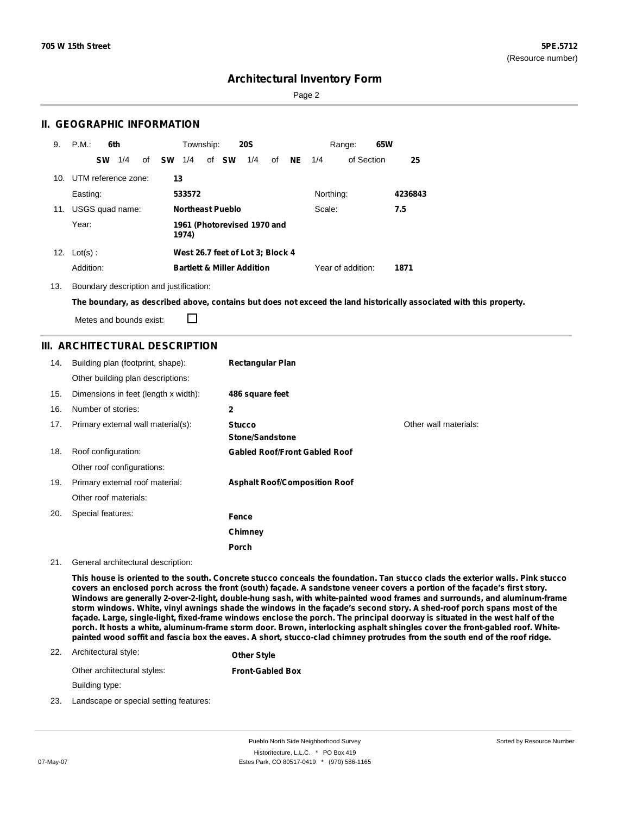Page 2

### **II. GEOGRAPHIC INFORMATION**

| 9.              | P.M.<br>6th            | Township:<br><b>20S</b>                             | 65W<br>Range:             |
|-----------------|------------------------|-----------------------------------------------------|---------------------------|
|                 | 1/4<br>of<br><b>SW</b> | of <b>SW</b><br><b>SW</b><br>1/4<br>1/4<br>of<br>NE | of Section<br>25<br>1/4   |
| 10 <sub>1</sub> | UTM reference zone:    | 13                                                  |                           |
|                 | Easting:               | 533572                                              | Northing:<br>4236843      |
| 11.             | USGS quad name:        | <b>Northeast Pueblo</b>                             | Scale:<br>7.5             |
|                 | Year:                  | 1961 (Photorevised 1970 and<br>1974)                |                           |
|                 | 12. $Lot(s)$ :         | West 26.7 feet of Lot 3; Block 4                    |                           |
|                 | Addition:              | <b>Bartlett &amp; Miller Addition</b>               | Year of addition:<br>1871 |

13. Boundary description and justification:

The boundary, as described above, contains but does not exceed the land historically associated with this property.

Metes and bounds exist:

 $\Box$ 

### **III. ARCHITECTURAL DESCRIPTION**

| 14. | Building plan (footprint, shape):    | <b>Rectangular Plan</b>                 |                       |
|-----|--------------------------------------|-----------------------------------------|-----------------------|
|     | Other building plan descriptions:    |                                         |                       |
| 15. | Dimensions in feet (length x width): | 486 square feet                         |                       |
| 16. | Number of stories:                   | 2                                       |                       |
| 17. | Primary external wall material(s):   | <b>Stucco</b><br><b>Stone/Sandstone</b> | Other wall materials: |
| 18. | Roof configuration:                  | <b>Gabled Roof/Front Gabled Roof</b>    |                       |
|     | Other roof configurations:           |                                         |                       |
| 19. | Primary external roof material:      | <b>Asphalt Roof/Composition Roof</b>    |                       |
|     | Other roof materials:                |                                         |                       |
| 20. | Special features:                    | Fence                                   |                       |
|     |                                      | Chimney                                 |                       |
|     |                                      | Porch                                   |                       |

#### 21. General architectural description:

This house is oriented to the south. Concrete stucco conceals the foundation. Tan stucco clads the exterior walls. Pink stucco covers an enclosed porch across the front (south) façade. A sandstone veneer covers a portion of the façade's first story. **Windows are generally 2-over-2-light, double-hung sash, with white-painted wood frames and surrounds, and aluminum-frame** storm windows. White, vinyl awnings shade the windows in the façade's second story. A shed-roof porch spans most of the façade. Large, single-light, fixed-frame windows enclose the porch. The principal doorway is situated in the west half of the porch. It hosts a white, aluminum-frame storm door. Brown, interlocking asphalt shingles cover the front-gabled roof. Whitepainted wood soffit and fascia box the eaves. A short, stucco-clad chimney protrudes from the south end of the roof ridge.

#### 22. Architectural style: **Other Style**

Other architectural styles: **Front-Gabled Box**

Building type:

23. Landscape or special setting features: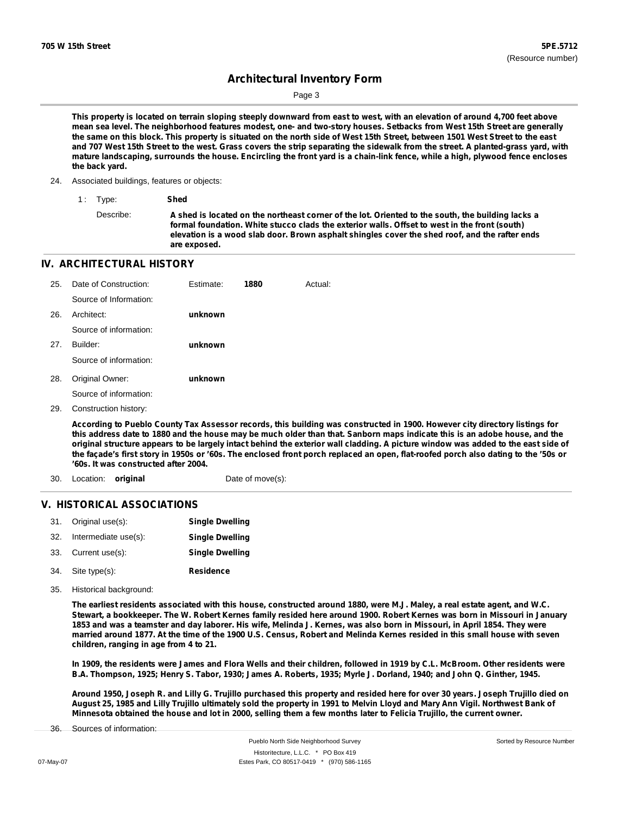Page 3

This property is located on terrain sloping steeply downward from east to west, with an elevation of around 4,700 feet above mean sea level. The neighborhood features modest, one- and two-story houses. Setbacks from West 15th Street are generally the same on this block. This property is situated on the north side of West 15th Street, between 1501 West Street to the east and 707 West 15th Street to the west. Grass covers the strip separating the sidewalk from the street. A planted-grass yard, with mature landscaping, surrounds the house. Encircling the front yard is a chain-link fence, while a high, plywood fence encloses **the back yard.**

24. Associated buildings, features or objects:

1 : Type: **Shed**

Describe: A shed is located on the northeast corner of the lot. Oriented to the south, the building lacks a **formal foundation. White stucco clads the exterior walls. Offset to west in the front (south) elevation is a wood slab door. Brown asphalt shingles cover the shed roof, and the rafter ends are exposed.**

### **IV. ARCHITECTURAL HISTORY**

| 25. | Date of Construction:  | Estimate: | 1880 | Actual: |
|-----|------------------------|-----------|------|---------|
|     | Source of Information: |           |      |         |
| 26. | Architect:             | unknown   |      |         |
|     | Source of information: |           |      |         |
| 27. | Builder:               | unknown   |      |         |
|     | Source of information: |           |      |         |
| 28. | Original Owner:        | unknown   |      |         |
|     | Source of information: |           |      |         |
|     |                        |           |      |         |

29. Construction history:

According to Pueblo County Tax Assessor records, this building was constructed in 1900. However city directory listings for this address date to 1880 and the house may be much older than that. Sanborn maps indicate this is an adobe house, and the original structure appears to be largely intact behind the exterior wall cladding. A picture window was added to the east side of the façade's first story in 1950s or '60s. The enclosed front porch replaced an open, flat-roofed porch also dating to the '50s or **'60s. It was constructed after 2004.**

- 30. Location: **original** Date of move(s):
	-

### **V. HISTORICAL ASSOCIATIONS**

| 31. Original use(s):     | <b>Single Dwelling</b> |
|--------------------------|------------------------|
| 32. Intermediate use(s): | <b>Single Dwelling</b> |
| 33. Current use(s):      | <b>Single Dwelling</b> |
| 34. Site type(s):        | <b>Residence</b>       |

35. Historical background:

The earliest residents associated with this house, constructed around 1880, were M.J. Maley, a real estate agent, and W.C. Stewart, a bookkeeper. The W. Robert Kernes family resided here around 1900. Robert Kernes was born in Missouri in January 1853 and was a teamster and day laborer. His wife, Melinda J. Kernes, was also born in Missouri, in April 1854. They were married around 1877. At the time of the 1900 U.S. Census, Robert and Melinda Kernes resided in this small house with seven **children, ranging in age from 4 to 21.**

In 1909, the residents were James and Flora Wells and their children, followed in 1919 by C.L. McBroom. Other residents were B.A. Thompson, 1925; Henry S. Tabor, 1930; James A. Roberts, 1935; Myrle J. Dorland, 1940; and John Q. Ginther, 1945.

Around 1950, Joseph R. and Lilly G. Trujillo purchased this property and resided here for over 30 years. Joseph Trujillo died on August 25, 1985 and Lilly Trujillo ultimately sold the property in 1991 to Melvin Lloyd and Mary Ann Vigil. Northwest Bank of Minnesota obtained the house and lot in 2000, selling them a few months later to Felicia Trujillo, the current owner.

Sources of information: 36.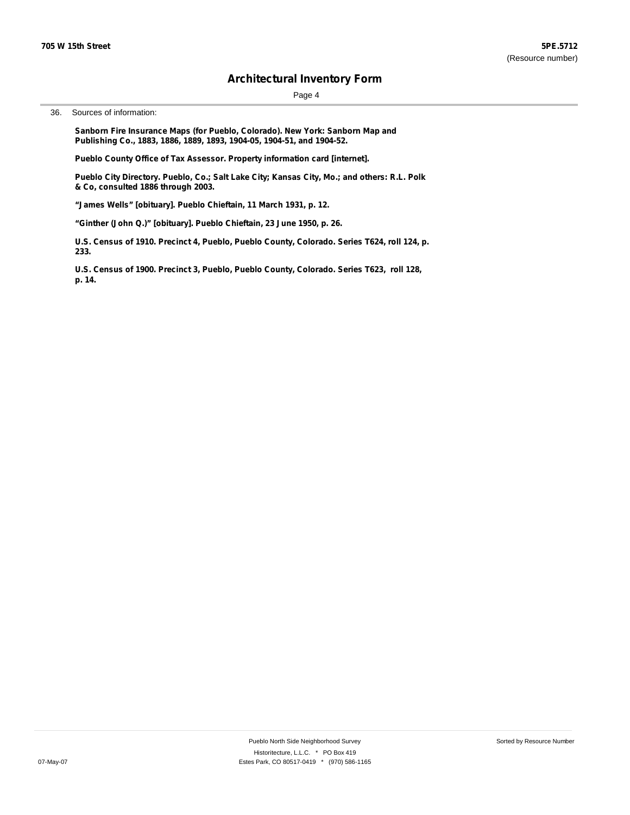Page 4

36. Sources of information:

**Sanborn Fire Insurance Maps (for Pueblo, Colorado). New York: Sanborn Map and Publishing Co., 1883, 1886, 1889, 1893, 1904-05, 1904-51, and 1904-52.**

**Pueblo County Office of Tax Assessor. Property information card [internet].**

**Pueblo City Directory. Pueblo, Co.; Salt Lake City; Kansas City, Mo.; and others: R.L. Polk & Co, consulted 1886 through 2003.**

**"James Wells" [obituary]. Pueblo Chieftain, 11 March 1931, p. 12.**

**"Ginther (John Q.)" [obituary]. Pueblo Chieftain, 23 June 1950, p. 26.**

**U.S. Census of 1910. Precinct 4, Pueblo, Pueblo County, Colorado. Series T624, roll 124, p. 233.**

**U.S. Census of 1900. Precinct 3, Pueblo, Pueblo County, Colorado. Series T623, roll 128, p. 14.**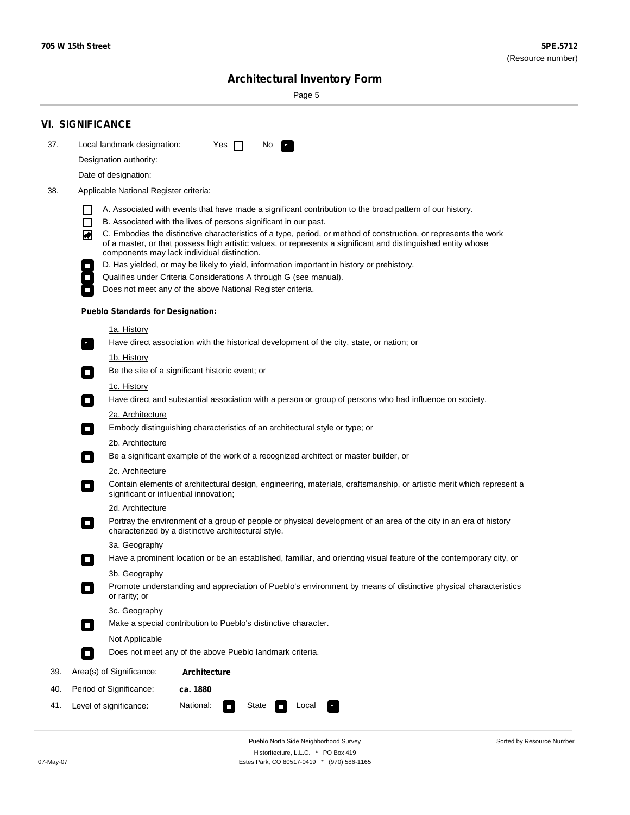۰

Sorted by Resource Number

# **Architectural Inventory Form**

Page 5

|                                                                                                                    | <b>VI. SIGNIFICANCE</b>                                                                                                                                                                                                                                                                                                                                                                                                                                                                                                                                                                                                                                                                                                                                            |
|--------------------------------------------------------------------------------------------------------------------|--------------------------------------------------------------------------------------------------------------------------------------------------------------------------------------------------------------------------------------------------------------------------------------------------------------------------------------------------------------------------------------------------------------------------------------------------------------------------------------------------------------------------------------------------------------------------------------------------------------------------------------------------------------------------------------------------------------------------------------------------------------------|
| 37.                                                                                                                | Local landmark designation:<br>Yes $\Box$<br>No.                                                                                                                                                                                                                                                                                                                                                                                                                                                                                                                                                                                                                                                                                                                   |
|                                                                                                                    | Designation authority:                                                                                                                                                                                                                                                                                                                                                                                                                                                                                                                                                                                                                                                                                                                                             |
|                                                                                                                    | Date of designation:                                                                                                                                                                                                                                                                                                                                                                                                                                                                                                                                                                                                                                                                                                                                               |
| 38.                                                                                                                | Applicable National Register criteria:                                                                                                                                                                                                                                                                                                                                                                                                                                                                                                                                                                                                                                                                                                                             |
|                                                                                                                    | A. Associated with events that have made a significant contribution to the broad pattern of our history.<br>l.<br>B. Associated with the lives of persons significant in our past.<br>$\Box$<br>C. Embodies the distinctive characteristics of a type, period, or method of construction, or represents the work<br>◙<br>of a master, or that possess high artistic values, or represents a significant and distinguished entity whose<br>components may lack individual distinction.<br>D. Has yielded, or may be likely to yield, information important in history or prehistory.<br>Qualifies under Criteria Considerations A through G (see manual).<br>Does not meet any of the above National Register criteria.<br><b>Pueblo Standards for Designation:</b> |
|                                                                                                                    |                                                                                                                                                                                                                                                                                                                                                                                                                                                                                                                                                                                                                                                                                                                                                                    |
|                                                                                                                    | 1a. History<br>Have direct association with the historical development of the city, state, or nation; or                                                                                                                                                                                                                                                                                                                                                                                                                                                                                                                                                                                                                                                           |
|                                                                                                                    | <u>1b. History</u><br>Be the site of a significant historic event; or<br>$\mathcal{L}_{\mathcal{A}}$                                                                                                                                                                                                                                                                                                                                                                                                                                                                                                                                                                                                                                                               |
|                                                                                                                    | 1c. History<br>Have direct and substantial association with a person or group of persons who had influence on society.<br>$\blacksquare$                                                                                                                                                                                                                                                                                                                                                                                                                                                                                                                                                                                                                           |
|                                                                                                                    | 2a. Architecture<br>Embody distinguishing characteristics of an architectural style or type; or<br>$\overline{\phantom{a}}$                                                                                                                                                                                                                                                                                                                                                                                                                                                                                                                                                                                                                                        |
| 2b. Architecture<br>Be a significant example of the work of a recognized architect or master builder, or<br>$\sim$ |                                                                                                                                                                                                                                                                                                                                                                                                                                                                                                                                                                                                                                                                                                                                                                    |
|                                                                                                                    |                                                                                                                                                                                                                                                                                                                                                                                                                                                                                                                                                                                                                                                                                                                                                                    |
|                                                                                                                    | Contain elements of architectural design, engineering, materials, craftsmanship, or artistic merit which represent a<br>О<br>significant or influential innovation;                                                                                                                                                                                                                                                                                                                                                                                                                                                                                                                                                                                                |
|                                                                                                                    | 2d. Architecture                                                                                                                                                                                                                                                                                                                                                                                                                                                                                                                                                                                                                                                                                                                                                   |
|                                                                                                                    | Portray the environment of a group of people or physical development of an area of the city in an era of history<br>$\Box$<br>characterized by a distinctive architectural style.                                                                                                                                                                                                                                                                                                                                                                                                                                                                                                                                                                                  |
|                                                                                                                    | 3a. Geography                                                                                                                                                                                                                                                                                                                                                                                                                                                                                                                                                                                                                                                                                                                                                      |
|                                                                                                                    | Have a prominent location or be an established, familiar, and orienting visual feature of the contemporary city, or                                                                                                                                                                                                                                                                                                                                                                                                                                                                                                                                                                                                                                                |
|                                                                                                                    | 3b. Geography<br>Promote understanding and appreciation of Pueblo's environment by means of distinctive physical characteristics<br>or rarity; or                                                                                                                                                                                                                                                                                                                                                                                                                                                                                                                                                                                                                  |
|                                                                                                                    | 3c. Geography<br>Make a special contribution to Pueblo's distinctive character.<br>$\sim$                                                                                                                                                                                                                                                                                                                                                                                                                                                                                                                                                                                                                                                                          |
|                                                                                                                    | Not Applicable                                                                                                                                                                                                                                                                                                                                                                                                                                                                                                                                                                                                                                                                                                                                                     |
|                                                                                                                    | Does not meet any of the above Pueblo landmark criteria.<br>$\overline{\phantom{a}}$                                                                                                                                                                                                                                                                                                                                                                                                                                                                                                                                                                                                                                                                               |
| 39.                                                                                                                | Area(s) of Significance:<br><b>Architecture</b>                                                                                                                                                                                                                                                                                                                                                                                                                                                                                                                                                                                                                                                                                                                    |
| 40.                                                                                                                | Period of Significance:<br>ca. 1880                                                                                                                                                                                                                                                                                                                                                                                                                                                                                                                                                                                                                                                                                                                                |
| 41.                                                                                                                | National:<br>Level of significance:<br>State<br>Local<br>т,<br>П                                                                                                                                                                                                                                                                                                                                                                                                                                                                                                                                                                                                                                                                                                   |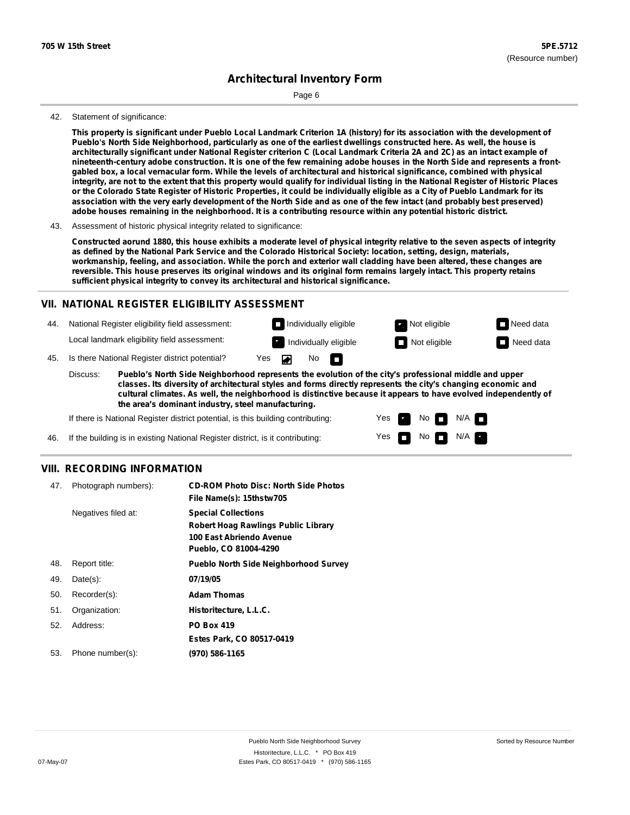Page 6

#### 42. Statement of significance:

This property is significant under Pueblo Local Landmark Criterion 1A (history) for its association with the development of Pueblo's North Side Neighborhood, particularly as one of the earliest dwellings constructed here. As well, the house is architecturally significant under National Register criterion C (Local Landmark Criteria 2A and 2C) as an intact example of nineteenth-century adobe construction. It is one of the few remaining adobe houses in the North Side and represents a frontgabled box, a local vernacular form. While the levels of architectural and historical significance, combined with physical integrity, are not to the extent that this property would qualify for individual listing in the National Register of Historic Places or the Colorado State Register of Historic Properties, it could be individually eligible as a City of Pueblo Landmark for its association with the very early development of the North Side and as one of the few intact (and probably best preserved) adobe houses remaining in the neighborhood. It is a contributing resource within any potential historic district.

43. Assessment of historic physical integrity related to significance:

Constructed aorund 1880, this house exhibits a moderate level of physical integrity relative to the seven aspects of integrity as defined by the National Park Service and the Colorado Historical Society: location, setting, design, materials, workmanship, feeling, and association. While the porch and exterior wall cladding have been altered, these changes are reversible. This house preserves its original windows and its original form remains largely intact. This property retains **sufficient physical integrity to convey its architectural and historical significance.**

#### **VII. NATIONAL REGISTER ELIGIBILITY ASSESSMENT**

**Individually eligible Not eligible** Not eligible **Need data** 44. National Register eligibility field assessment: Local landmark eligibility field assessment: Individually eligible **Not eligible** Not eligible **Need data** No<sub>D</sub> ◪ 45. Is there National Register district potential? Yes

**Pueblo's North Side Neighborhood represents the evolution of the city's professional middle and upper classes. Its diversity of architectural styles and forms directly represents the city's changing economic and cultural climates. As well, the neighborhood is distinctive because it appears to have evolved independently of the area's dominant industry, steel manufacturing.** Discuss:

> Yes Yes

No

 $N/A$ N/A

If there is National Register district potential, is this building contributing:

46. If the building is in existing National Register district, is it contributing:

#### **VIII. RECORDING INFORMATION**

| 47. | Photograph numbers): | <b>CD-ROM Photo Disc: North Side Photos</b><br>File Name(s): 15thstw705                                                       |
|-----|----------------------|-------------------------------------------------------------------------------------------------------------------------------|
|     | Negatives filed at:  | <b>Special Collections</b><br><b>Robert Hoag Rawlings Public Library</b><br>100 East Abriendo Avenue<br>Pueblo, CO 81004-4290 |
| 48. | Report title:        | <b>Pueblo North Side Neighborhood Survey</b>                                                                                  |
| 49. | $Date(s)$ :          | 07/19/05                                                                                                                      |
| 50. | Recorder(s):         | <b>Adam Thomas</b>                                                                                                            |
| 51. | Organization:        | Historitecture, L.L.C.                                                                                                        |
| 52. | Address:             | <b>PO Box 419</b>                                                                                                             |
|     |                      | Estes Park, CO 80517-0419                                                                                                     |
| 53. | Phone number(s):     | (970) 586-1165                                                                                                                |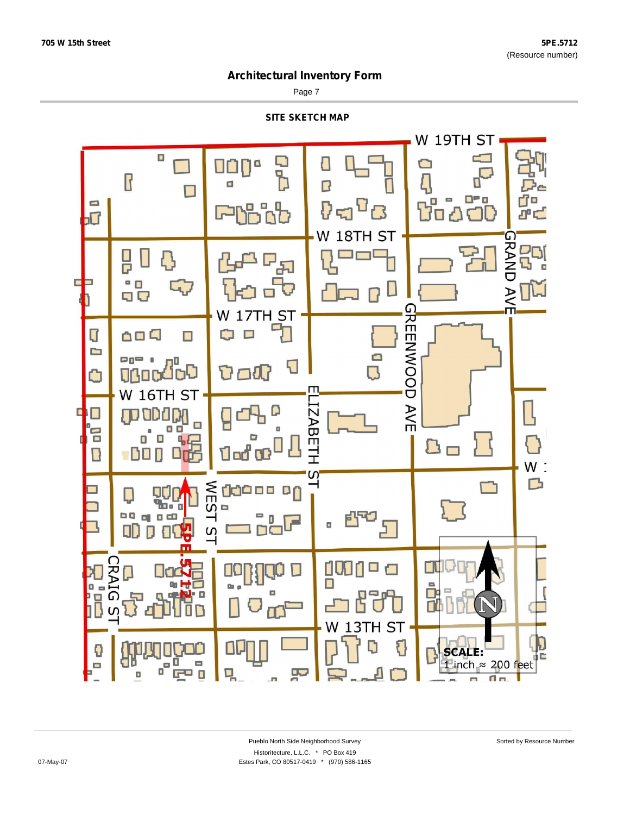Page 7